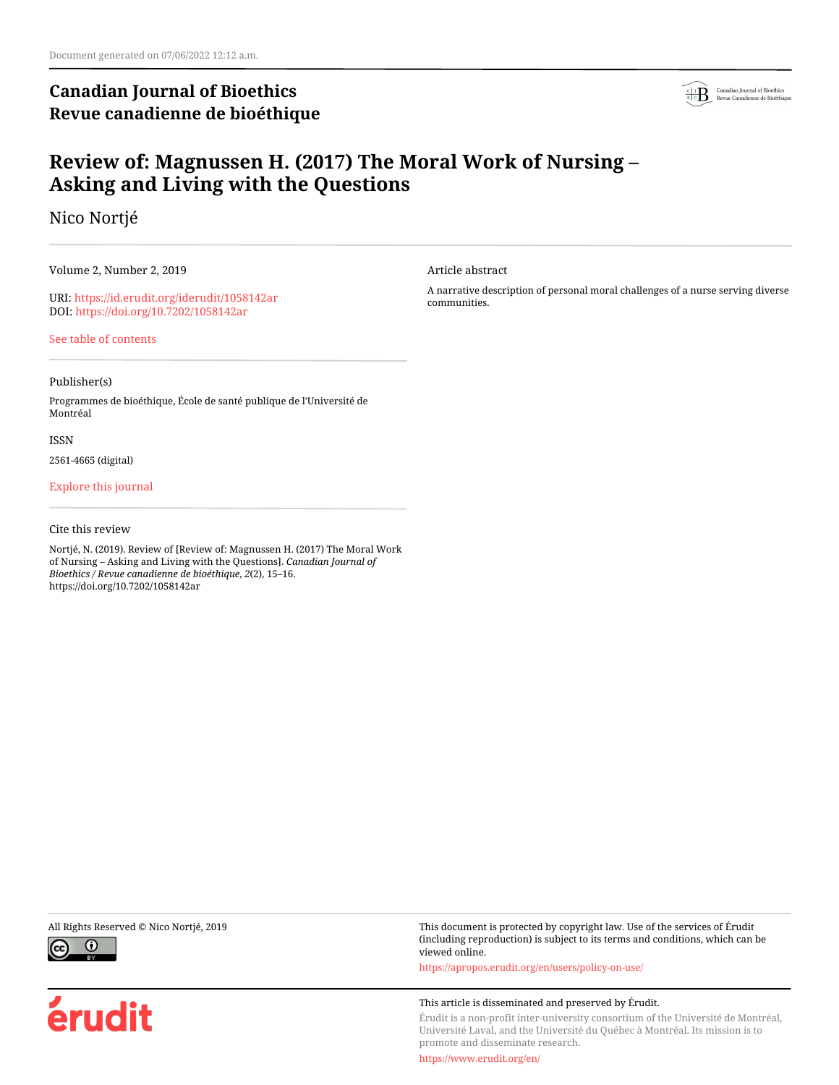## **Canadian Journal of Bioethics Revue canadienne de bioéthique**



# **Review of: Magnussen H. (2017) The Moral Work of Nursing – Asking and Living with the Questions**

Nico Nortjé

Volume 2, Number 2, 2019

URI:<https://id.erudit.org/iderudit/1058142ar> DOI:<https://doi.org/10.7202/1058142ar>

[See table of contents](https://www.erudit.org/en/journals/bioethics/2019-v2-n2-bioethics04449/)

## Publisher(s)

Programmes de bioéthique, École de santé publique de l'Université de Montréal

## ISSN

2561-4665 (digital)

## [Explore this journal](https://www.erudit.org/en/journals/bioethics/)

## Cite this review

Nortjé, N. (2019). Review of [Review of: Magnussen H. (2017) The Moral Work of Nursing – Asking and Living with the Questions]. *Canadian Journal of Bioethics / Revue canadienne de bioéthique*, *2*(2), 15–16. https://doi.org/10.7202/1058142ar



érudit

Article abstract

A narrative description of personal moral challenges of a nurse serving diverse communities.

All Rights Reserved © Nico Nortjé, 2019 This document is protected by copyright law. Use of the services of Érudit (including reproduction) is subject to its terms and conditions, which can be viewed online.

<https://apropos.erudit.org/en/users/policy-on-use/>

## This article is disseminated and preserved by Érudit.

Érudit is a non-profit inter-university consortium of the Université de Montréal, Université Laval, and the Université du Québec à Montréal. Its mission is to promote and disseminate research.

<https://www.erudit.org/en/>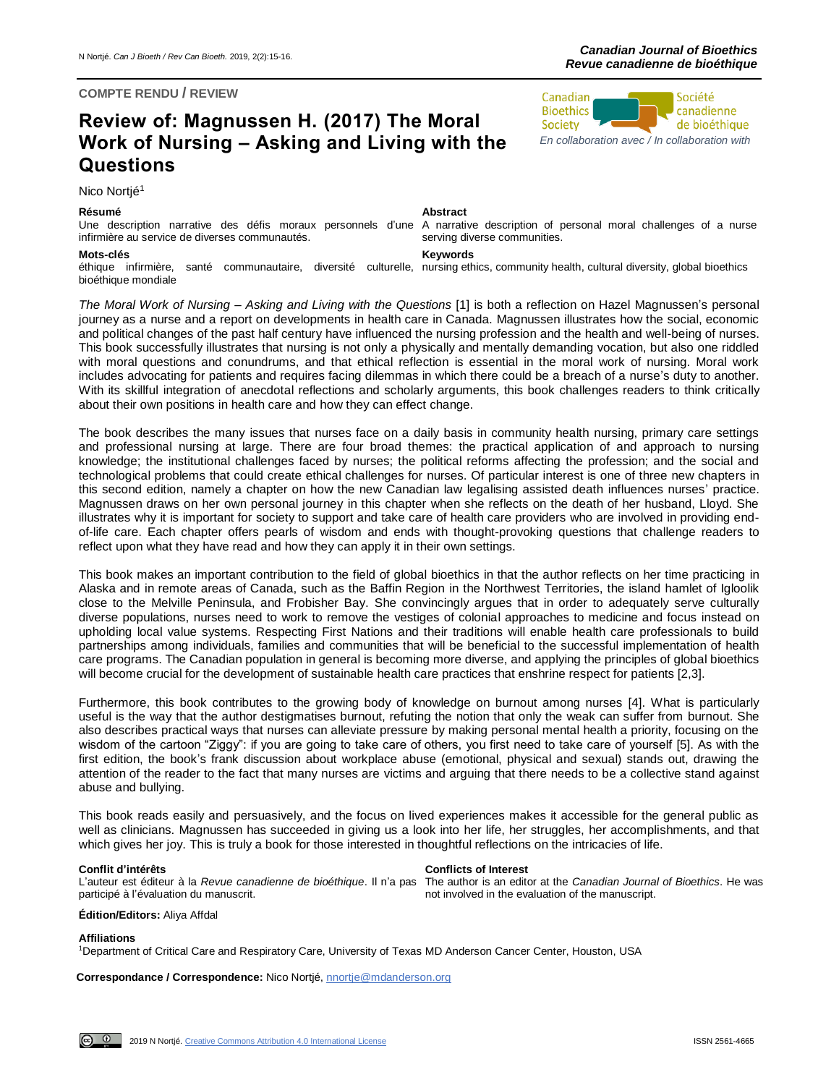## **COMPTE RENDU / REVIEW**

## **Review of: Magnussen H. (2017) The Moral Work of Nursing – Asking and Living with the Questions**

Nico Nortié<sup>1</sup>

## **Résumé Abstract**

Une description narrative des défis moraux personnels d'une A narrative description of personal moral challenges of a nurse infirmière au service de diverses communautés.

## **Mots-clés Keywords**

éthique infirmière, santé communautaire, diversité culturelle, nursingethics, communityhealth, cultural diversity, global bioethics bioéthique mondiale

serving diverse communities.

*The Moral Work of Nursing – Asking and Living with the Questions* [1] is both a reflection on Hazel Magnussen's personal journey as a nurse and a report on developments in health care in Canada. Magnussen illustrates how the social, economic and political changes of the past half century have influenced the nursing profession and the health and well-being of nurses. This book successfully illustrates that nursing is not only a physically and mentally demanding vocation, but also one riddled with moral questions and conundrums, and that ethical reflection is essential in the moral work of nursing. Moral work includes advocating for patients and requires facing dilemmas in which there could be a breach of a nurse's duty to another. With its skillful integration of anecdotal reflections and scholarly arguments, this book challenges readers to think critically about their own positions in health care and how they can effect change.

The book describes the many issues that nurses face on a daily basis in community health nursing, primary care settings and professional nursing at large. There are four broad themes: the practical application of and approach to nursing knowledge; the institutional challenges faced by nurses; the political reforms affecting the profession; and the social and technological problems that could create ethical challenges for nurses. Of particular interest is one of three new chapters in this second edition, namely a chapter on how the new Canadian law legalising assisted death influences nurses' practice. Magnussen draws on her own personal journey in this chapter when she reflects on the death of her husband, Lloyd. She illustrates why it is important for society to support and take care of health care providers who are involved in providing endof-life care. Each chapter offers pearls of wisdom and ends with thought-provoking questions that challenge readers to reflect upon what they have read and how they can apply it in their own settings.

This book makes an important contribution to the field of global bioethics in that the author reflects on her time practicing in Alaska and in remote areas of Canada, such as the Baffin Region in the Northwest Territories, the island hamlet of Igloolik close to the Melville Peninsula, and Frobisher Bay. She convincingly argues that in order to adequately serve culturally diverse populations, nurses need to work to remove the vestiges of colonial approaches to medicine and focus instead on upholding local value systems. Respecting First Nations and their traditions will enable health care professionals to build partnerships among individuals, families and communities that will be beneficial to the successful implementation of health care programs. The Canadian population in general is becoming more diverse, and applying the principles of global bioethics will become crucial for the development of sustainable health care practices that enshrine respect for patients [2,3].

Furthermore, this book contributes to the growing body of knowledge on burnout among nurses [4]. What is particularly useful is the way that the author destigmatises burnout, refuting the notion that only the weak can suffer from burnout. She also describes practical ways that nurses can alleviate pressure by making personal mental health a priority, focusing on the wisdom of the cartoon "Ziggy": if you are going to take care of others, you first need to take care of yourself [5]. As with the first edition, the book's frank discussion about workplace abuse (emotional, physical and sexual) stands out, drawing the attention of the reader to the fact that many nurses are victims and arguing that there needs to be a collective stand against abuse and bullying.

This book reads easily and persuasively, and the focus on lived experiences makes it accessible for the general public as well as clinicians. Magnussen has succeeded in giving us a look into her life, her struggles, her accomplishments, and that which gives her joy. This is truly a book for those interested in thoughtful reflections on the intricacies of life.

## **Conflit d'intérêts Conflicts of Interest**

L'auteur est éditeur à la *Revue canadienne de bioéthique*. Il n'a pas participé à l'évaluation du manuscrit. The author is an editor at the *Canadian Journal of Bioethics*. He was not involved in the evaluation of the manuscript.

## **Édition/Editors:** Aliya Affdal

**Affiliations**

<u>ര</u> 0

<sup>1</sup>Department of Critical Care and Respiratory Care, University of Texas MD Anderson Cancer Center, Houston, USA

**Correspondance / Correspondence:** Nico Nortjé[, nnortje@mdanderson.org](mailto:nnortje@mdanderson.org)

Société Canadian **Bioethics** canadienne de bioéthique Society

*[En collaboration avec / In collaboration with](http://www.bioethics.ca/)*